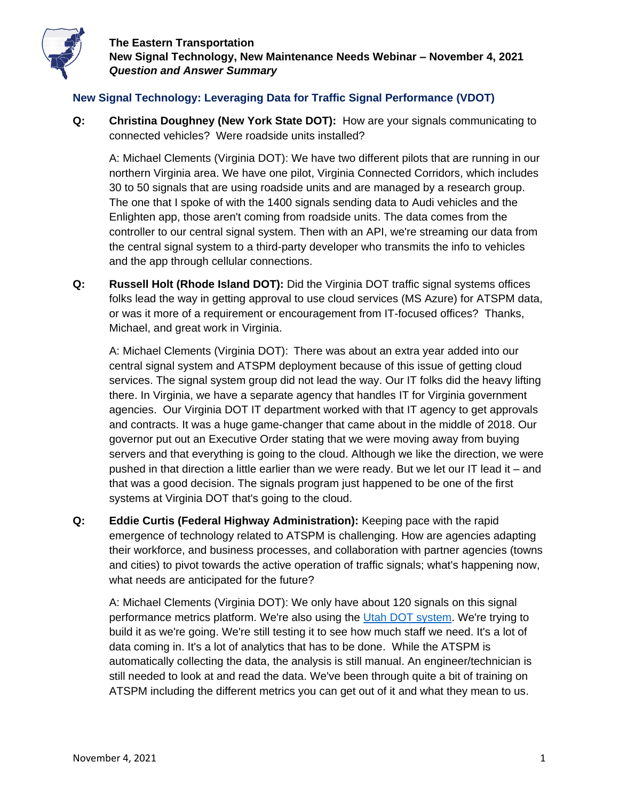

## **New Signal Technology: Leveraging Data for Traffic Signal Performance (VDOT)**

**Q: Christina Doughney (New York State DOT):** How are your signals communicating to connected vehicles? Were roadside units installed?

A: Michael Clements (Virginia DOT): We have two different pilots that are running in our northern Virginia area. We have one pilot, Virginia Connected Corridors, which includes 30 to 50 signals that are using roadside units and are managed by a research group. The one that I spoke of with the 1400 signals sending data to Audi vehicles and the Enlighten app, those aren't coming from roadside units. The data comes from the controller to our central signal system. Then with an API, we're streaming our data from the central signal system to a third-party developer who transmits the info to vehicles and the app through cellular connections.

**Q: Russell Holt (Rhode Island DOT):** Did the Virginia DOT traffic signal systems offices folks lead the way in getting approval to use cloud services (MS Azure) for ATSPM data, or was it more of a requirement or encouragement from IT-focused offices? Thanks, Michael, and great work in Virginia.

A: Michael Clements (Virginia DOT): There was about an extra year added into our central signal system and ATSPM deployment because of this issue of getting cloud services. The signal system group did not lead the way. Our IT folks did the heavy lifting there. In Virginia, we have a separate agency that handles IT for Virginia government agencies. Our Virginia DOT IT department worked with that IT agency to get approvals and contracts. It was a huge game-changer that came about in the middle of 2018. Our governor put out an Executive Order stating that we were moving away from buying servers and that everything is going to the cloud. Although we like the direction, we were pushed in that direction a little earlier than we were ready. But we let our IT lead it – and that was a good decision. The signals program just happened to be one of the first systems at Virginia DOT that's going to the cloud.

**Q: Eddie Curtis (Federal Highway Administration):** Keeping pace with the rapid emergence of technology related to ATSPM is challenging. How are agencies adapting their workforce, and business processes, and collaboration with partner agencies (towns and cities) to pivot towards the active operation of traffic signals; what's happening now, what needs are anticipated for the future?

A: Michael Clements (Virginia DOT): We only have about 120 signals on this signal performance metrics platform. We're also using the [Utah DOT](https://udottraffic.utah.gov/ATSPM/Home/About) system. We're trying to build it as we're going. We're still testing it to see how much staff we need. It's a lot of data coming in. It's a lot of analytics that has to be done. While the ATSPM is automatically collecting the data, the analysis is still manual. An engineer/technician is still needed to look at and read the data. We've been through quite a bit of training on ATSPM including the different metrics you can get out of it and what they mean to us.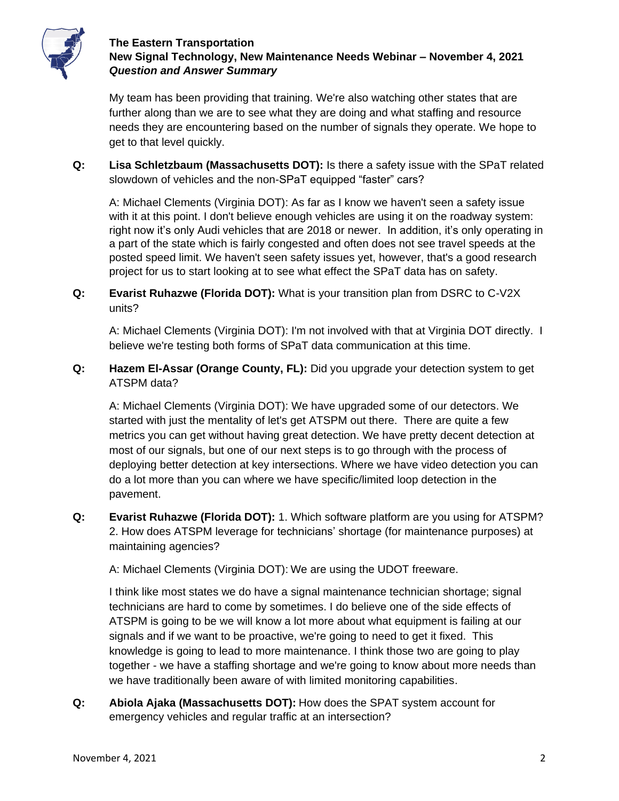

My team has been providing that training. We're also watching other states that are further along than we are to see what they are doing and what staffing and resource needs they are encountering based on the number of signals they operate. We hope to get to that level quickly.

**Q: Lisa Schletzbaum (Massachusetts DOT):** Is there a safety issue with the SPaT related slowdown of vehicles and the non-SPaT equipped "faster" cars?

A: Michael Clements (Virginia DOT): As far as I know we haven't seen a safety issue with it at this point. I don't believe enough vehicles are using it on the roadway system: right now it's only Audi vehicles that are 2018 or newer. In addition, it's only operating in a part of the state which is fairly congested and often does not see travel speeds at the posted speed limit. We haven't seen safety issues yet, however, that's a good research project for us to start looking at to see what effect the SPaT data has on safety.

**Q: Evarist Ruhazwe (Florida DOT):** What is your transition plan from DSRC to C-V2X units?

A: Michael Clements (Virginia DOT): I'm not involved with that at Virginia DOT directly. I believe we're testing both forms of SPaT data communication at this time.

**Q: Hazem El-Assar (Orange County, FL):** Did you upgrade your detection system to get ATSPM data?

A: Michael Clements (Virginia DOT): We have upgraded some of our detectors. We started with just the mentality of let's get ATSPM out there. There are quite a few metrics you can get without having great detection. We have pretty decent detection at most of our signals, but one of our next steps is to go through with the process of deploying better detection at key intersections. Where we have video detection you can do a lot more than you can where we have specific/limited loop detection in the pavement.

**Q: Evarist Ruhazwe (Florida DOT):** 1. Which software platform are you using for ATSPM? 2. How does ATSPM leverage for technicians' shortage (for maintenance purposes) at maintaining agencies?

A: Michael Clements (Virginia DOT): We are using the UDOT freeware.

I think like most states we do have a signal maintenance technician shortage; signal technicians are hard to come by sometimes. I do believe one of the side effects of ATSPM is going to be we will know a lot more about what equipment is failing at our signals and if we want to be proactive, we're going to need to get it fixed. This knowledge is going to lead to more maintenance. I think those two are going to play together - we have a staffing shortage and we're going to know about more needs than we have traditionally been aware of with limited monitoring capabilities.

**Q: Abiola Ajaka (Massachusetts DOT):** How does the SPAT system account for emergency vehicles and regular traffic at an intersection?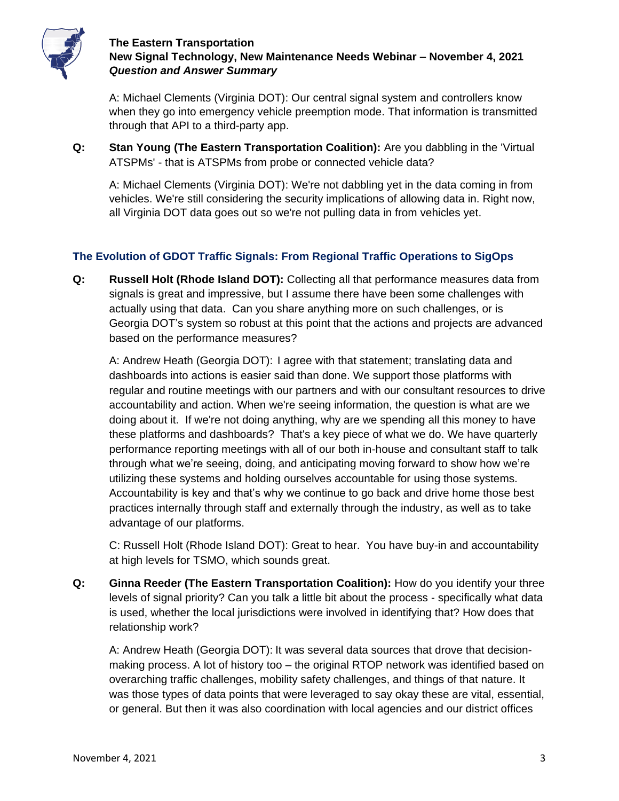

A: Michael Clements (Virginia DOT): Our central signal system and controllers know when they go into emergency vehicle preemption mode. That information is transmitted through that API to a third-party app.

**Q: Stan Young (The Eastern Transportation Coalition):** Are you dabbling in the 'Virtual ATSPMs' - that is ATSPMs from probe or connected vehicle data?

A: Michael Clements (Virginia DOT): We're not dabbling yet in the data coming in from vehicles. We're still considering the security implications of allowing data in. Right now, all Virginia DOT data goes out so we're not pulling data in from vehicles yet.

# **The Evolution of GDOT Traffic Signals: From Regional Traffic Operations to SigOps**

**Q: Russell Holt (Rhode Island DOT):** Collecting all that performance measures data from signals is great and impressive, but I assume there have been some challenges with actually using that data. Can you share anything more on such challenges, or is Georgia DOT's system so robust at this point that the actions and projects are advanced based on the performance measures?

A: Andrew Heath (Georgia DOT): I agree with that statement; translating data and dashboards into actions is easier said than done. We support those platforms with regular and routine meetings with our partners and with our consultant resources to drive accountability and action. When we're seeing information, the question is what are we doing about it. If we're not doing anything, why are we spending all this money to have these platforms and dashboards? That's a key piece of what we do. We have quarterly performance reporting meetings with all of our both in-house and consultant staff to talk through what we're seeing, doing, and anticipating moving forward to show how we're utilizing these systems and holding ourselves accountable for using those systems. Accountability is key and that's why we continue to go back and drive home those best practices internally through staff and externally through the industry, as well as to take advantage of our platforms.

C: Russell Holt (Rhode Island DOT): Great to hear. You have buy-in and accountability at high levels for TSMO, which sounds great.

**Q: Ginna Reeder (The Eastern Transportation Coalition):** How do you identify your three levels of signal priority? Can you talk a little bit about the process - specifically what data is used, whether the local jurisdictions were involved in identifying that? How does that relationship work?

A: Andrew Heath (Georgia DOT): It was several data sources that drove that decisionmaking process. A lot of history too – the original RTOP network was identified based on overarching traffic challenges, mobility safety challenges, and things of that nature. It was those types of data points that were leveraged to say okay these are vital, essential, or general. But then it was also coordination with local agencies and our district offices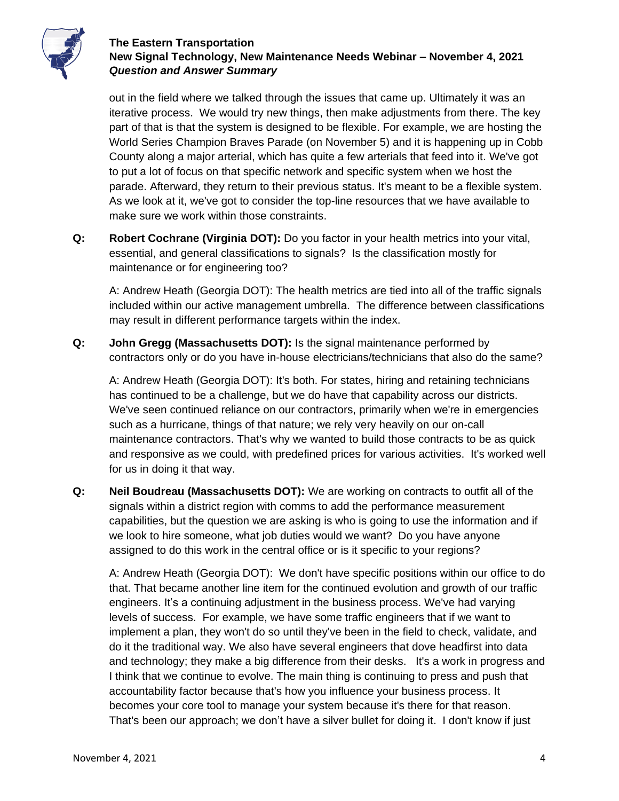

out in the field where we talked through the issues that came up. Ultimately it was an iterative process. We would try new things, then make adjustments from there. The key part of that is that the system is designed to be flexible. For example, we are hosting the World Series Champion Braves Parade (on November 5) and it is happening up in Cobb County along a major arterial, which has quite a few arterials that feed into it. We've got to put a lot of focus on that specific network and specific system when we host the parade. Afterward, they return to their previous status. It's meant to be a flexible system. As we look at it, we've got to consider the top-line resources that we have available to make sure we work within those constraints.

**Q: Robert Cochrane (Virginia DOT):** Do you factor in your health metrics into your vital, essential, and general classifications to signals? Is the classification mostly for maintenance or for engineering too?

A: Andrew Heath (Georgia DOT): The health metrics are tied into all of the traffic signals included within our active management umbrella. The difference between classifications may result in different performance targets within the index.

**Q: John Gregg (Massachusetts DOT):** Is the signal maintenance performed by contractors only or do you have in-house electricians/technicians that also do the same?

A: Andrew Heath (Georgia DOT): It's both. For states, hiring and retaining technicians has continued to be a challenge, but we do have that capability across our districts. We've seen continued reliance on our contractors, primarily when we're in emergencies such as a hurricane, things of that nature; we rely very heavily on our on-call maintenance contractors. That's why we wanted to build those contracts to be as quick and responsive as we could, with predefined prices for various activities. It's worked well for us in doing it that way.

**Q: Neil Boudreau (Massachusetts DOT):** We are working on contracts to outfit all of the signals within a district region with comms to add the performance measurement capabilities, but the question we are asking is who is going to use the information and if we look to hire someone, what job duties would we want? Do you have anyone assigned to do this work in the central office or is it specific to your regions?

A: Andrew Heath (Georgia DOT): We don't have specific positions within our office to do that. That became another line item for the continued evolution and growth of our traffic engineers. It's a continuing adjustment in the business process. We've had varying levels of success. For example, we have some traffic engineers that if we want to implement a plan, they won't do so until they've been in the field to check, validate, and do it the traditional way. We also have several engineers that dove headfirst into data and technology; they make a big difference from their desks. It's a work in progress and I think that we continue to evolve. The main thing is continuing to press and push that accountability factor because that's how you influence your business process. It becomes your core tool to manage your system because it's there for that reason. That's been our approach; we don't have a silver bullet for doing it. I don't know if just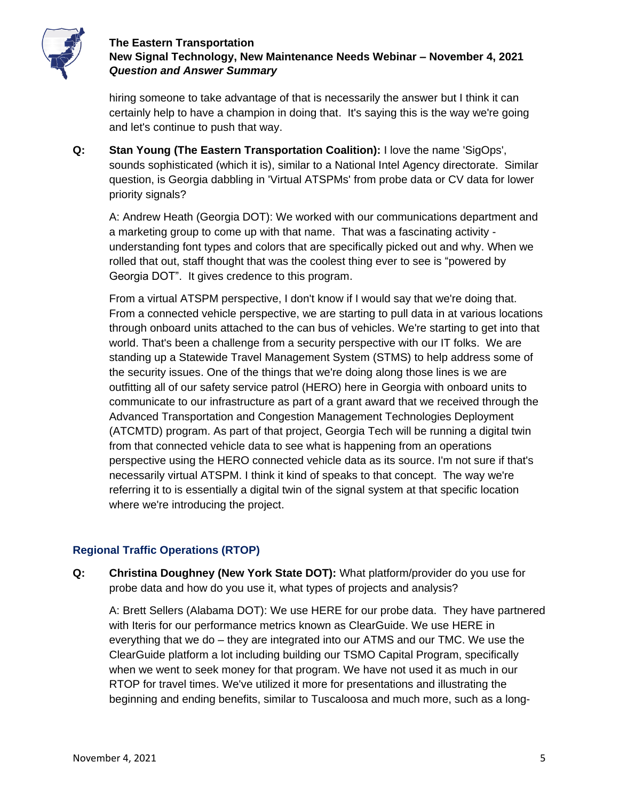

hiring someone to take advantage of that is necessarily the answer but I think it can certainly help to have a champion in doing that. It's saying this is the way we're going and let's continue to push that way.

**Q: Stan Young (The Eastern Transportation Coalition):** I love the name 'SigOps', sounds sophisticated (which it is), similar to a National Intel Agency directorate. Similar question, is Georgia dabbling in 'Virtual ATSPMs' from probe data or CV data for lower priority signals?

A: Andrew Heath (Georgia DOT): We worked with our communications department and a marketing group to come up with that name. That was a fascinating activity understanding font types and colors that are specifically picked out and why. When we rolled that out, staff thought that was the coolest thing ever to see is "powered by Georgia DOT". It gives credence to this program.

From a virtual ATSPM perspective, I don't know if I would say that we're doing that. From a connected vehicle perspective, we are starting to pull data in at various locations through onboard units attached to the can bus of vehicles. We're starting to get into that world. That's been a challenge from a security perspective with our IT folks. We are standing up a Statewide Travel Management System (STMS) to help address some of the security issues. One of the things that we're doing along those lines is we are outfitting all of our safety service patrol (HERO) here in Georgia with onboard units to communicate to our infrastructure as part of a grant award that we received through the Advanced Transportation and Congestion Management Technologies Deployment (ATCMTD) program. As part of that project, Georgia Tech will be running a digital twin from that connected vehicle data to see what is happening from an operations perspective using the HERO connected vehicle data as its source. I'm not sure if that's necessarily virtual ATSPM. I think it kind of speaks to that concept. The way we're referring it to is essentially a digital twin of the signal system at that specific location where we're introducing the project.

# **Regional Traffic Operations (RTOP)**

**Q: Christina Doughney (New York State DOT):** What platform/provider do you use for probe data and how do you use it, what types of projects and analysis?

A: Brett Sellers (Alabama DOT): We use HERE for our probe data. They have partnered with Iteris for our performance metrics known as ClearGuide. We use HERE in everything that we do – they are integrated into our ATMS and our TMC. We use the ClearGuide platform a lot including building our TSMO Capital Program, specifically when we went to seek money for that program. We have not used it as much in our RTOP for travel times. We've utilized it more for presentations and illustrating the beginning and ending benefits, similar to Tuscaloosa and much more, such as a long-